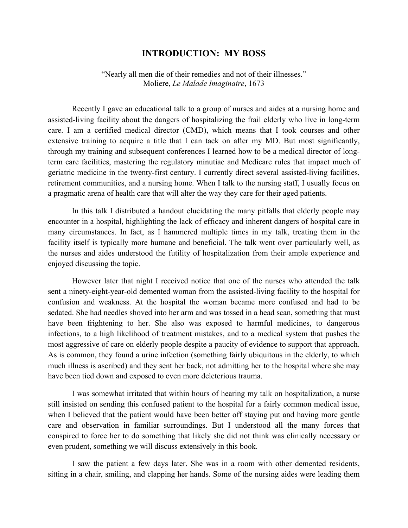## **INTRODUCTION: MY BOSS**

"Nearly all men die of their remedies and not of their illnesses." Moliere, *Le Malade Imaginaire*, 1673

Recently I gave an educational talk to a group of nurses and aides at a nursing home and assisted-living facility about the dangers of hospitalizing the frail elderly who live in long-term care. I am a certified medical director (CMD), which means that I took courses and other extensive training to acquire a title that I can tack on after my MD. But most significantly, through my training and subsequent conferences I learned how to be a medical director of longterm care facilities, mastering the regulatory minutiae and Medicare rules that impact much of geriatric medicine in the twenty-first century. I currently direct several assisted-living facilities, retirement communities, and a nursing home. When I talk to the nursing staff, I usually focus on a pragmatic arena of health care that will alter the way they care for their aged patients.

In this talk I distributed a handout elucidating the many pitfalls that elderly people may encounter in a hospital, highlighting the lack of efficacy and inherent dangers of hospital care in many circumstances. In fact, as I hammered multiple times in my talk, treating them in the facility itself is typically more humane and beneficial. The talk went over particularly well, as the nurses and aides understood the futility of hospitalization from their ample experience and enjoyed discussing the topic.

However later that night I received notice that one of the nurses who attended the talk sent a ninety-eight-year-old demented woman from the assisted-living facility to the hospital for confusion and weakness. At the hospital the woman became more confused and had to be sedated. She had needles shoved into her arm and was tossed in a head scan, something that must have been frightening to her. She also was exposed to harmful medicines, to dangerous infections, to a high likelihood of treatment mistakes, and to a medical system that pushes the most aggressive of care on elderly people despite a paucity of evidence to support that approach. As is common, they found a urine infection (something fairly ubiquitous in the elderly, to which much illness is ascribed) and they sent her back, not admitting her to the hospital where she may have been tied down and exposed to even more deleterious trauma.

I was somewhat irritated that within hours of hearing my talk on hospitalization, a nurse still insisted on sending this confused patient to the hospital for a fairly common medical issue, when I believed that the patient would have been better off staying put and having more gentle care and observation in familiar surroundings. But I understood all the many forces that conspired to force her to do something that likely she did not think was clinically necessary or even prudent, something we will discuss extensively in this book.

I saw the patient a few days later. She was in a room with other demented residents, sitting in a chair, smiling, and clapping her hands. Some of the nursing aides were leading them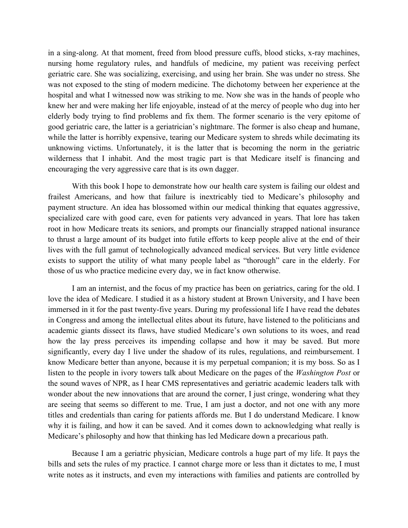in a sing-along. At that moment, freed from blood pressure cuffs, blood sticks, x-ray machines, nursing home regulatory rules, and handfuls of medicine, my patient was receiving perfect geriatric care. She was socializing, exercising, and using her brain. She was under no stress. She was not exposed to the sting of modern medicine. The dichotomy between her experience at the hospital and what I witnessed now was striking to me. Now she was in the hands of people who knew her and were making her life enjoyable, instead of at the mercy of people who dug into her elderly body trying to find problems and fix them. The former scenario is the very epitome of good geriatric care, the latter is a geriatrician's nightmare. The former is also cheap and humane, while the latter is horribly expensive, tearing our Medicare system to shreds while decimating its unknowing victims. Unfortunately, it is the latter that is becoming the norm in the geriatric wilderness that I inhabit. And the most tragic part is that Medicare itself is financing and encouraging the very aggressive care that is its own dagger.

With this book I hope to demonstrate how our health care system is failing our oldest and frailest Americans, and how that failure is inextricably tied to Medicare's philosophy and payment structure. An idea has blossomed within our medical thinking that equates aggressive, specialized care with good care, even for patients very advanced in years. That lore has taken root in how Medicare treats its seniors, and prompts our financially strapped national insurance to thrust a large amount of its budget into futile efforts to keep people alive at the end of their lives with the full gamut of technologically advanced medical services. But very little evidence exists to support the utility of what many people label as "thorough" care in the elderly. For those of us who practice medicine every day, we in fact know otherwise.

I am an internist, and the focus of my practice has been on geriatrics, caring for the old. I love the idea of Medicare. I studied it as a history student at Brown University, and I have been immersed in it for the past twenty-five years. During my professional life I have read the debates in Congress and among the intellectual elites about its future, have listened to the politicians and academic giants dissect its flaws, have studied Medicare's own solutions to its woes, and read how the lay press perceives its impending collapse and how it may be saved. But more significantly, every day I live under the shadow of its rules, regulations, and reimbursement. I know Medicare better than anyone, because it is my perpetual companion; it is my boss. So as I listen to the people in ivory towers talk about Medicare on the pages of the *Washington Post* or the sound waves of NPR, as I hear CMS representatives and geriatric academic leaders talk with wonder about the new innovations that are around the corner, I just cringe, wondering what they are seeing that seems so different to me. True, I am just a doctor, and not one with any more titles and credentials than caring for patients affords me. But I do understand Medicare. I know why it is failing, and how it can be saved. And it comes down to acknowledging what really is Medicare's philosophy and how that thinking has led Medicare down a precarious path.

Because I am a geriatric physician, Medicare controls a huge part of my life. It pays the bills and sets the rules of my practice. I cannot charge more or less than it dictates to me, I must write notes as it instructs, and even my interactions with families and patients are controlled by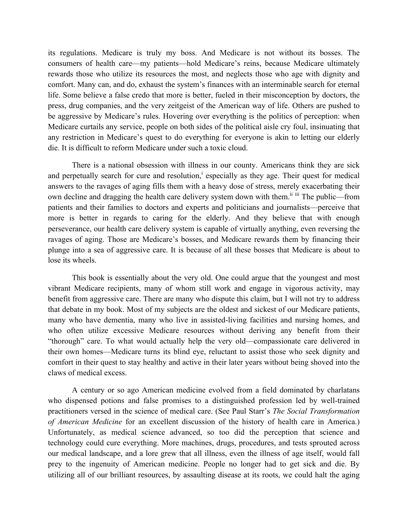its regulations. Medicare is truly my boss. And Medicare is not without its bosses. The consumers of health care—my patients—hold Medicare's reins, because Medicare ultimately rewards those who utilize its resources the most, and neglects those who age with dignity and comfort. Many can, and do, exhaust the system's finances with an interminable search for eternal life. Some believe a false credo that more is better, fueled in their misconception by doctors, the press, drug companies, and the very zeitgeist of the American way of life. Others are pushed to be aggressive by Medicare's rules. Hovering over everything is the politics of perception: when Medicare curtails any service, people on both sides of the political aisle cry foul, insinuating that any restriction in Medicare's quest to do everything for everyone is akin to letting our elderly die. It is difficult to reform Medicare under such a toxic cloud.

There is a national obsession with illness in our county. Americans think they are sick and perpetually search for cure and resolution,<sup>i</sup> especially as they age. Their quest for medical answers to the ravages of aging fills them with a heavy dose of stress, merely exacerbating their own decline and dragging the health care delivery system down with them.<sup>ii iii</sup> The public—from patients and their families to doctors and experts and politicians and journalists—perceive that more is better in regards to caring for the elderly. And they believe that with enough perseverance, our health care delivery system is capable of virtually anything, even reversing the ravages of aging. Those are Medicare's bosses, and Medicare rewards them by financing their plunge into a sea of aggressive care. It is because of all these bosses that Medicare is about to lose its wheels.

This book is essentially about the very old. One could argue that the youngest and most vibrant Medicare recipients, many of whom still work and engage in vigorous activity, may benefit from aggressive care. There are many who dispute this claim, but I will not try to address that debate in my book. Most of my subjects are the oldest and sickest of our Medicare patients, many who have dementia, many who live in assisted-living facilities and nursing homes, and who often utilize excessive Medicare resources without deriving any benefit from their "thorough" care. To what would actually help the very old—compassionate care delivered in their own homes—Medicare turns its blind eye, reluctant to assist those who seek dignity and comfort in their quest to stay healthy and active in their later years without being shoved into the claws of medical excess.

A century or so ago American medicine evolved from a field dominated by charlatans who dispensed potions and false promises to a distinguished profession led by well-trained practitioners versed in the science of medical care. (See Paul Starr's *The Social Transformation of American Medicine* for an excellent discussion of the history of health care in America.) Unfortunately, as medical science advanced, so too did the perception that science and technology could cure everything. More machines, drugs, procedures, and tests sprouted across our medical landscape, and a lore grew that all illness, even the illness of age itself, would fall prey to the ingenuity of American medicine. People no longer had to get sick and die. By utilizing all of our brilliant resources, by assaulting disease at its roots, we could halt the aging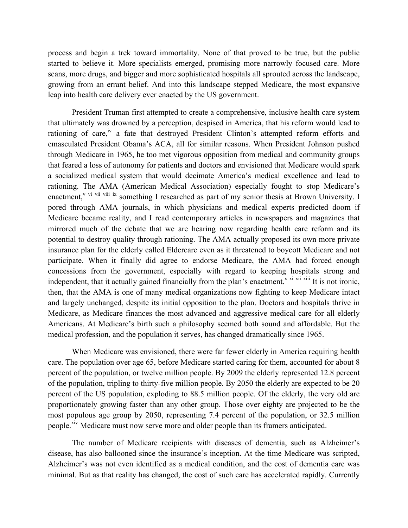process and begin a trek toward immortality. None of that proved to be true, but the public started to believe it. More specialists emerged, promising more narrowly focused care. More scans, more drugs, and bigger and more sophisticated hospitals all sprouted across the landscape, growing from an errant belief. And into this landscape stepped Medicare, the most expansive leap into health care delivery ever enacted by the US government.

President Truman first attempted to create a comprehensive, inclusive health care system that ultimately was drowned by a perception, despised in America, that his reform would lead to rationing of care,<sup>iv</sup> a fate that destroyed President Clinton's attempted reform efforts and emasculated President Obama's ACA, all for similar reasons. When President Johnson pushed through Medicare in 1965, he too met vigorous opposition from medical and community groups that feared a loss of autonomy for patients and doctors and envisioned that Medicare would spark a socialized medical system that would decimate America's medical excellence and lead to rationing. The AMA (American Medical Association) especially fought to stop Medicare's enactment,<sup>v vi vii viii ix</sup> something I researched as part of my senior thesis at Brown University. I pored through AMA journals, in which physicians and medical experts predicted doom if Medicare became reality, and I read contemporary articles in newspapers and magazines that mirrored much of the debate that we are hearing now regarding health care reform and its potential to destroy quality through rationing. The AMA actually proposed its own more private insurance plan for the elderly called Eldercare even as it threatened to boycott Medicare and not participate. When it finally did agree to endorse Medicare, the AMA had forced enough concessions from the government, especially with regard to keeping hospitals strong and independent, that it actually gained financially from the plan's enactment.<sup> $x$  xi xii xiii It is not ironic,</sup> then, that the AMA is one of many medical organizations now fighting to keep Medicare intact and largely unchanged, despite its initial opposition to the plan. Doctors and hospitals thrive in Medicare, as Medicare finances the most advanced and aggressive medical care for all elderly Americans. At Medicare's birth such a philosophy seemed both sound and affordable. But the medical profession, and the population it serves, has changed dramatically since 1965.

When Medicare was envisioned, there were far fewer elderly in America requiring health care. The population over age 65, before Medicare started caring for them, accounted for about 8 percent of the population, or twelve million people. By 2009 the elderly represented 12.8 percent of the population, tripling to thirty-five million people. By 2050 the elderly are expected to be 20 percent of the US population, exploding to 88.5 million people. Of the elderly, the very old are proportionately growing faster than any other group. Those over eighty are projected to be the most populous age group by 2050, representing 7.4 percent of the population, or 32.5 million people.<sup>xiv</sup> Medicare must now serve more and older people than its framers anticipated.

The number of Medicare recipients with diseases of dementia, such as Alzheimer's disease, has also ballooned since the insurance's inception. At the time Medicare was scripted, Alzheimer's was not even identified as a medical condition, and the cost of dementia care was minimal. But as that reality has changed, the cost of such care has accelerated rapidly. Currently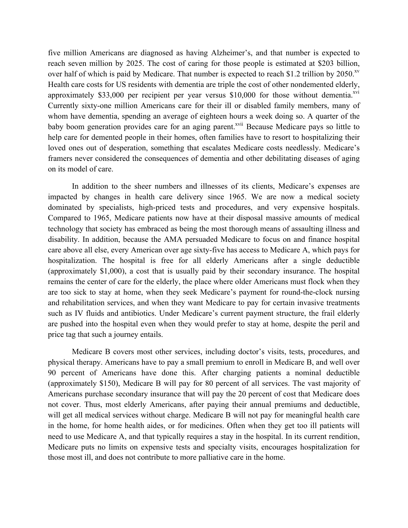five million Americans are diagnosed as having Alzheimer's, and that number is expected to reach seven million by 2025. The cost of caring for those people is estimated at \$203 billion, over half of which is paid by Medicare. That number is expected to reach \$1.2 trillion by  $2050$ .<sup>xv</sup> Health care costs for US residents with dementia are triple the cost of other nondemented elderly, approximately \$33,000 per recipient per year versus  $$10,000$  for those without dementia.<sup>xvi</sup> Currently sixty-one million Americans care for their ill or disabled family members, many of whom have dementia, spending an average of eighteen hours a week doing so. A quarter of the baby boom generation provides care for an aging parent.<sup>xvii</sup> Because Medicare pays so little to help care for demented people in their homes, often families have to resort to hospitalizing their loved ones out of desperation, something that escalates Medicare costs needlessly. Medicare's framers never considered the consequences of dementia and other debilitating diseases of aging on its model of care.

In addition to the sheer numbers and illnesses of its clients, Medicare's expenses are impacted by changes in health care delivery since 1965. We are now a medical society dominated by specialists, high-priced tests and procedures, and very expensive hospitals. Compared to 1965, Medicare patients now have at their disposal massive amounts of medical technology that society has embraced as being the most thorough means of assaulting illness and disability. In addition, because the AMA persuaded Medicare to focus on and finance hospital care above all else, every American over age sixty-five has access to Medicare A, which pays for hospitalization. The hospital is free for all elderly Americans after a single deductible (approximately \$1,000), a cost that is usually paid by their secondary insurance. The hospital remains the center of care for the elderly, the place where older Americans must flock when they are too sick to stay at home, when they seek Medicare's payment for round-the-clock nursing and rehabilitation services, and when they want Medicare to pay for certain invasive treatments such as IV fluids and antibiotics. Under Medicare's current payment structure, the frail elderly are pushed into the hospital even when they would prefer to stay at home, despite the peril and price tag that such a journey entails.

Medicare B covers most other services, including doctor's visits, tests, procedures, and physical therapy. Americans have to pay a small premium to enroll in Medicare B, and well over 90 percent of Americans have done this. After charging patients a nominal deductible (approximately \$150), Medicare B will pay for 80 percent of all services. The vast majority of Americans purchase secondary insurance that will pay the 20 percent of cost that Medicare does not cover. Thus, most elderly Americans, after paying their annual premiums and deductible, will get all medical services without charge. Medicare B will not pay for meaningful health care in the home, for home health aides, or for medicines. Often when they get too ill patients will need to use Medicare A, and that typically requires a stay in the hospital. In its current rendition, Medicare puts no limits on expensive tests and specialty visits, encourages hospitalization for those most ill, and does not contribute to more palliative care in the home.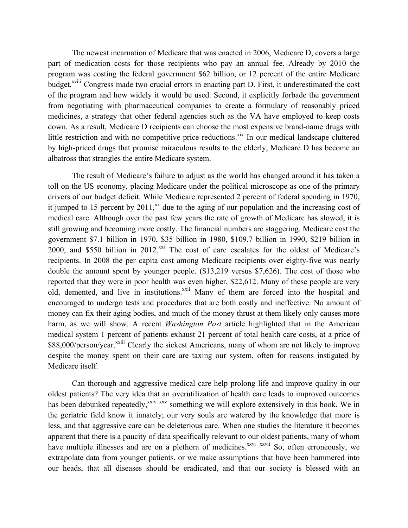The newest incarnation of Medicare that was enacted in 2006, Medicare D, covers a large part of medication costs for those recipients who pay an annual fee. Already by 2010 the program was costing the federal government \$62 billion, or 12 percent of the entire Medicare budget.<sup>xviii</sup> Congress made two crucial errors in enacting part D. First, it underestimated the cost of the program and how widely it would be used. Second, it explicitly forbade the government from negotiating with pharmaceutical companies to create a formulary of reasonably priced medicines, a strategy that other federal agencies such as the VA have employed to keep costs down. As a result, Medicare D recipients can choose the most expensive brand-name drugs with little restriction and with no competitive price reductions.<sup>xix</sup> In our medical landscape cluttered by high-priced drugs that promise miraculous results to the elderly, Medicare D has become an albatross that strangles the entire Medicare system.

The result of Medicare's failure to adjust as the world has changed around it has taken a toll on the US economy, placing Medicare under the political microscope as one of the primary drivers of our budget deficit. While Medicare represented 2 percent of federal spending in 1970, it jumped to 15 percent by  $2011$ ,<sup>xx</sup> due to the aging of our population and the increasing cost of medical care. Although over the past few years the rate of growth of Medicare has slowed, it is still growing and becoming more costly. The financial numbers are staggering. Medicare cost the government \$7.1 billion in 1970, \$35 billion in 1980, \$109.7 billion in 1990, \$219 billion in 2000, and \$550 billion in 2012.<sup>xxi</sup> The cost of care escalates for the oldest of Medicare's recipients. In 2008 the per capita cost among Medicare recipients over eighty-five was nearly double the amount spent by younger people. (\$13,219 versus \$7,626). The cost of those who reported that they were in poor health was even higher, \$22,612. Many of these people are very old, demented, and live in institutions.<sup>xxii</sup> Many of them are forced into the hospital and encouraged to undergo tests and procedures that are both costly and ineffective. No amount of money can fix their aging bodies, and much of the money thrust at them likely only causes more harm, as we will show. A recent *Washington Post* article highlighted that in the American medical system 1 percent of patients exhaust 21 percent of total health care costs, at a price of \$88,000/person/year.<sup>xxiii</sup> Clearly the sickest Americans, many of whom are not likely to improve despite the money spent on their care are taxing our system, often for reasons instigated by Medicare itself.

Can thorough and aggressive medical care help prolong life and improve quality in our oldest patients? The very idea that an overutilization of health care leads to improved outcomes has been debunked repeatedly, $x_{x}^{x}$  something we will explore extensively in this book. We in the geriatric field know it innately; our very souls are watered by the knowledge that more is less, and that aggressive care can be deleterious care. When one studies the literature it becomes apparent that there is a paucity of data specifically relevant to our oldest patients, many of whom have multiple illnesses and are on a plethora of medicines.<sup>xxvi</sup> xxvii So, often erroneously, we extrapolate data from younger patients, or we make assumptions that have been hammered into our heads, that all diseases should be eradicated, and that our society is blessed with an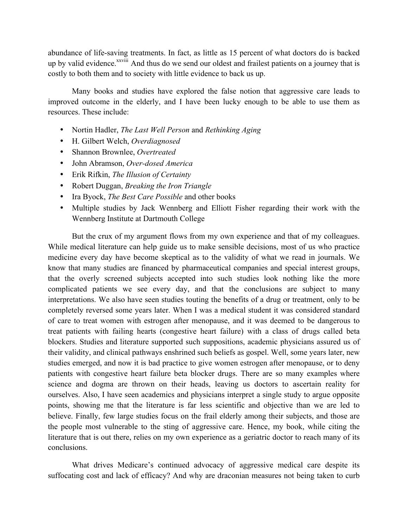abundance of life-saving treatments. In fact, as little as 15 percent of what doctors do is backed up by valid evidence.<sup>xxviii</sup> And thus do we send our oldest and frailest patients on a journey that is costly to both them and to society with little evidence to back us up.

Many books and studies have explored the false notion that aggressive care leads to improved outcome in the elderly, and I have been lucky enough to be able to use them as resources. These include:

- Nortin Hadler, *The Last Well Person* and *Rethinking Aging*
- H. Gilbert Welch, *Overdiagnosed*
- Shannon Brownlee, *Overtreated*
- John Abramson, *Over-dosed America*
- Erik Rifkin, *The Illusion of Certainty*
- Robert Duggan, *Breaking the Iron Triangle*
- Ira Byock, *The Best Care Possible* and other books
- Multiple studies by Jack Wennberg and Elliott Fisher regarding their work with the Wennberg Institute at Dartmouth College

But the crux of my argument flows from my own experience and that of my colleagues. While medical literature can help guide us to make sensible decisions, most of us who practice medicine every day have become skeptical as to the validity of what we read in journals. We know that many studies are financed by pharmaceutical companies and special interest groups, that the overly screened subjects accepted into such studies look nothing like the more complicated patients we see every day, and that the conclusions are subject to many interpretations. We also have seen studies touting the benefits of a drug or treatment, only to be completely reversed some years later. When I was a medical student it was considered standard of care to treat women with estrogen after menopause, and it was deemed to be dangerous to treat patients with failing hearts (congestive heart failure) with a class of drugs called beta blockers. Studies and literature supported such suppositions, academic physicians assured us of their validity, and clinical pathways enshrined such beliefs as gospel. Well, some years later, new studies emerged, and now it is bad practice to give women estrogen after menopause, or to deny patients with congestive heart failure beta blocker drugs. There are so many examples where science and dogma are thrown on their heads, leaving us doctors to ascertain reality for ourselves. Also, I have seen academics and physicians interpret a single study to argue opposite points, showing me that the literature is far less scientific and objective than we are led to believe. Finally, few large studies focus on the frail elderly among their subjects, and those are the people most vulnerable to the sting of aggressive care. Hence, my book, while citing the literature that is out there, relies on my own experience as a geriatric doctor to reach many of its conclusions.

What drives Medicare's continued advocacy of aggressive medical care despite its suffocating cost and lack of efficacy? And why are draconian measures not being taken to curb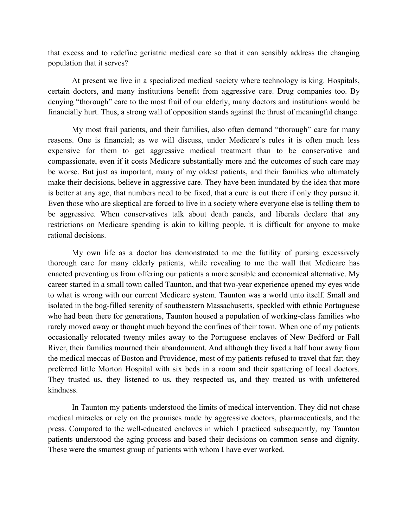that excess and to redefine geriatric medical care so that it can sensibly address the changing population that it serves?

At present we live in a specialized medical society where technology is king. Hospitals, certain doctors, and many institutions benefit from aggressive care. Drug companies too. By denying "thorough" care to the most frail of our elderly, many doctors and institutions would be financially hurt. Thus, a strong wall of opposition stands against the thrust of meaningful change.

My most frail patients, and their families, also often demand "thorough" care for many reasons. One is financial; as we will discuss, under Medicare's rules it is often much less expensive for them to get aggressive medical treatment than to be conservative and compassionate, even if it costs Medicare substantially more and the outcomes of such care may be worse. But just as important, many of my oldest patients, and their families who ultimately make their decisions, believe in aggressive care. They have been inundated by the idea that more is better at any age, that numbers need to be fixed, that a cure is out there if only they pursue it. Even those who are skeptical are forced to live in a society where everyone else is telling them to be aggressive. When conservatives talk about death panels, and liberals declare that any restrictions on Medicare spending is akin to killing people, it is difficult for anyone to make rational decisions.

My own life as a doctor has demonstrated to me the futility of pursing excessively thorough care for many elderly patients, while revealing to me the wall that Medicare has enacted preventing us from offering our patients a more sensible and economical alternative. My career started in a small town called Taunton, and that two-year experience opened my eyes wide to what is wrong with our current Medicare system. Taunton was a world unto itself. Small and isolated in the bog-filled serenity of southeastern Massachusetts, speckled with ethnic Portuguese who had been there for generations, Taunton housed a population of working-class families who rarely moved away or thought much beyond the confines of their town. When one of my patients occasionally relocated twenty miles away to the Portuguese enclaves of New Bedford or Fall River, their families mourned their abandonment. And although they lived a half hour away from the medical meccas of Boston and Providence, most of my patients refused to travel that far; they preferred little Morton Hospital with six beds in a room and their spattering of local doctors. They trusted us, they listened to us, they respected us, and they treated us with unfettered kindness.

In Taunton my patients understood the limits of medical intervention. They did not chase medical miracles or rely on the promises made by aggressive doctors, pharmaceuticals, and the press. Compared to the well-educated enclaves in which I practiced subsequently, my Taunton patients understood the aging process and based their decisions on common sense and dignity. These were the smartest group of patients with whom I have ever worked.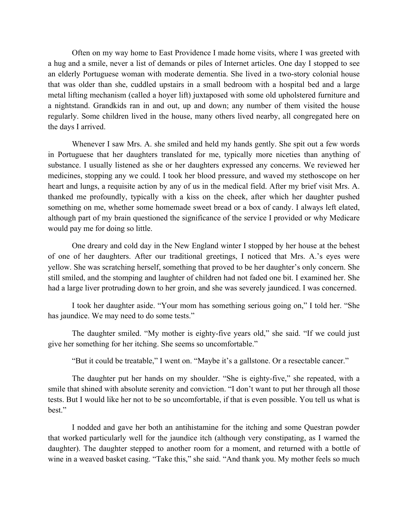Often on my way home to East Providence I made home visits, where I was greeted with a hug and a smile, never a list of demands or piles of Internet articles. One day I stopped to see an elderly Portuguese woman with moderate dementia. She lived in a two-story colonial house that was older than she, cuddled upstairs in a small bedroom with a hospital bed and a large metal lifting mechanism (called a hoyer lift) juxtaposed with some old upholstered furniture and a nightstand. Grandkids ran in and out, up and down; any number of them visited the house regularly. Some children lived in the house, many others lived nearby, all congregated here on the days I arrived.

Whenever I saw Mrs. A. she smiled and held my hands gently. She spit out a few words in Portuguese that her daughters translated for me, typically more niceties than anything of substance. I usually listened as she or her daughters expressed any concerns. We reviewed her medicines, stopping any we could. I took her blood pressure, and waved my stethoscope on her heart and lungs, a requisite action by any of us in the medical field. After my brief visit Mrs. A. thanked me profoundly, typically with a kiss on the cheek, after which her daughter pushed something on me, whether some homemade sweet bread or a box of candy. I always left elated, although part of my brain questioned the significance of the service I provided or why Medicare would pay me for doing so little.

One dreary and cold day in the New England winter I stopped by her house at the behest of one of her daughters. After our traditional greetings, I noticed that Mrs. A.'s eyes were yellow. She was scratching herself, something that proved to be her daughter's only concern. She still smiled, and the stomping and laughter of children had not faded one bit. I examined her. She had a large liver protruding down to her groin, and she was severely jaundiced. I was concerned.

I took her daughter aside. "Your mom has something serious going on," I told her. "She has jaundice. We may need to do some tests."

The daughter smiled. "My mother is eighty-five years old," she said. "If we could just give her something for her itching. She seems so uncomfortable."

"But it could be treatable," I went on. "Maybe it's a gallstone. Or a resectable cancer."

The daughter put her hands on my shoulder. "She is eighty-five," she repeated, with a smile that shined with absolute serenity and conviction. "I don't want to put her through all those tests. But I would like her not to be so uncomfortable, if that is even possible. You tell us what is best."

I nodded and gave her both an antihistamine for the itching and some Questran powder that worked particularly well for the jaundice itch (although very constipating, as I warned the daughter). The daughter stepped to another room for a moment, and returned with a bottle of wine in a weaved basket casing. "Take this," she said. "And thank you. My mother feels so much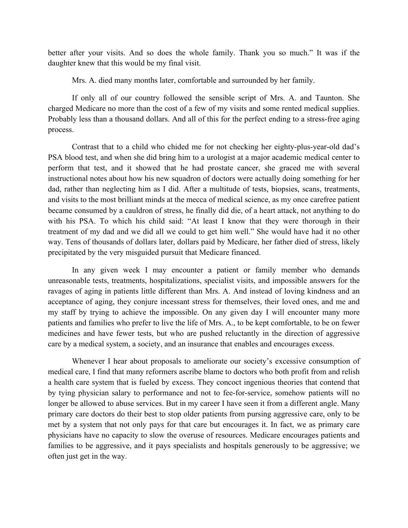better after your visits. And so does the whole family. Thank you so much." It was if the daughter knew that this would be my final visit.

Mrs. A. died many months later, comfortable and surrounded by her family.

If only all of our country followed the sensible script of Mrs. A. and Taunton. She charged Medicare no more than the cost of a few of my visits and some rented medical supplies. Probably less than a thousand dollars. And all of this for the perfect ending to a stress-free aging process.

Contrast that to a child who chided me for not checking her eighty-plus-year-old dad's PSA blood test, and when she did bring him to a urologist at a major academic medical center to perform that test, and it showed that he had prostate cancer, she graced me with several instructional notes about how his new squadron of doctors were actually doing something for her dad, rather than neglecting him as I did. After a multitude of tests, biopsies, scans, treatments, and visits to the most brilliant minds at the mecca of medical science, as my once carefree patient became consumed by a cauldron of stress, he finally did die, of a heart attack, not anything to do with his PSA. To which his child said: "At least I know that they were thorough in their treatment of my dad and we did all we could to get him well." She would have had it no other way. Tens of thousands of dollars later, dollars paid by Medicare, her father died of stress, likely precipitated by the very misguided pursuit that Medicare financed.

In any given week I may encounter a patient or family member who demands unreasonable tests, treatments, hospitalizations, specialist visits, and impossible answers for the ravages of aging in patients little different than Mrs. A. And instead of loving kindness and an acceptance of aging, they conjure incessant stress for themselves, their loved ones, and me and my staff by trying to achieve the impossible. On any given day I will encounter many more patients and families who prefer to live the life of Mrs. A., to be kept comfortable, to be on fewer medicines and have fewer tests, but who are pushed reluctantly in the direction of aggressive care by a medical system, a society, and an insurance that enables and encourages excess.

Whenever I hear about proposals to ameliorate our society's excessive consumption of medical care, I find that many reformers ascribe blame to doctors who both profit from and relish a health care system that is fueled by excess. They concoct ingenious theories that contend that by tying physician salary to performance and not to fee-for-service, somehow patients will no longer be allowed to abuse services. But in my career I have seen it from a different angle. Many primary care doctors do their best to stop older patients from pursing aggressive care, only to be met by a system that not only pays for that care but encourages it. In fact, we as primary care physicians have no capacity to slow the overuse of resources. Medicare encourages patients and families to be aggressive, and it pays specialists and hospitals generously to be aggressive; we often just get in the way.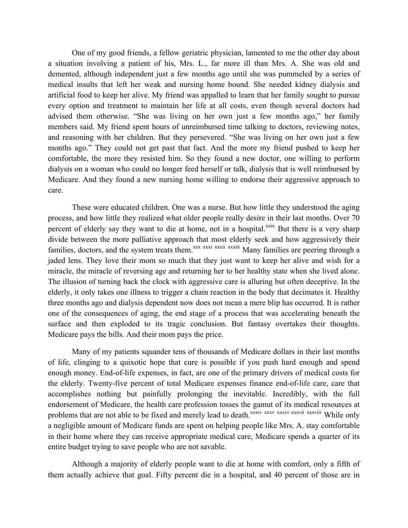One of my good friends, a fellow geriatric physician, lamented to me the other day about a situation involving a patient of his, Mrs. L., far more ill than Mrs. A. She was old and demented, although independent just a few months ago until she was pummeled by a series of medical insults that left her weak and nursing home bound. She needed kidney dialysis and artificial food to keep her alive. My friend was appalled to learn that her family sought to pursue every option and treatment to maintain her life at all costs, even though several doctors had advised them otherwise. "She was living on her own just a few months ago," her family members said. My friend spent hours of unreimbursed time talking to doctors, reviewing notes, and reasoning with her children. But they persevered. "She was living on her own just a few months ago." They could not get past that fact. And the more my friend pushed to keep her comfortable, the more they resisted him. So they found a new doctor, one willing to perform dialysis on a woman who could no longer feed herself or talk, dialysis that is well reimbursed by Medicare. And they found a new nursing home willing to endorse their aggressive approach to care.

These were educated children. One was a nurse. But how little they understood the aging process, and how little they realized what older people really desire in their last months. Over 70 percent of elderly say they want to die at home, not in a hospital.<sup>xxix</sup> But there is a very sharp divide between the more palliative approach that most elderly seek and how aggressively their families, doctors, and the system treats them.<sup>xxx</sup> xxxii xxxii xxxiii Many families are peering through a jaded lens. They love their mom so much that they just want to keep her alive and wish for a miracle, the miracle of reversing age and returning her to her healthy state when she lived alone. The illusion of turning back the clock with aggressive care is alluring but often deceptive. In the elderly, it only takes one illness to trigger a chain reaction in the body that decimates it. Healthy three months ago and dialysis dependent now does not mean a mere blip has occurred. It is rather one of the consequences of aging, the end stage of a process that was accelerating beneath the surface and then exploded to its tragic conclusion. But fantasy overtakes their thoughts. Medicare pays the bills. And their mom pays the price.

Many of my patients squander tens of thousands of Medicare dollars in their last months of life, clinging to a quixotic hope that cure is possible if you push hard enough and spend enough money. End-of-life expenses, in fact, are one of the primary drivers of medical costs for the elderly. Twenty-five percent of total Medicare expenses finance end-of-life care, care that accomplishes nothing but painfully prolonging the inevitable. Incredibly, with the full endorsement of Medicare, the health care profession tosses the gamut of its medical resources at problems that are not able to be fixed and merely lead to death.<sup>xxxiv</sup> xxxv xxxvi xxxvii xxxviii While only a negligible amount of Medicare funds are spent on helping people like Mrs. A. stay comfortable in their home where they can receive appropriate medical care, Medicare spends a quarter of its entire budget trying to save people who are not savable.

Although a majority of elderly people want to die at home with comfort, only a fifth of them actually achieve that goal. Fifty percent die in a hospital, and 40 percent of those are in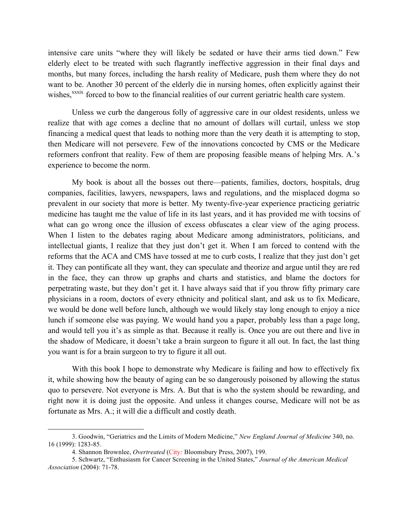intensive care units "where they will likely be sedated or have their arms tied down." Few elderly elect to be treated with such flagrantly ineffective aggression in their final days and months, but many forces, including the harsh reality of Medicare, push them where they do not want to be. Another 30 percent of the elderly die in nursing homes, often explicitly against their wishes,<sup>xxxix</sup> forced to bow to the financial realities of our current geriatric health care system.

Unless we curb the dangerous folly of aggressive care in our oldest residents, unless we realize that with age comes a decline that no amount of dollars will curtail, unless we stop financing a medical quest that leads to nothing more than the very death it is attempting to stop, then Medicare will not persevere. Few of the innovations concocted by CMS or the Medicare reformers confront that reality. Few of them are proposing feasible means of helping Mrs. A.'s experience to become the norm.

My book is about all the bosses out there—patients, families, doctors, hospitals, drug companies, facilities, lawyers, newspapers, laws and regulations, and the misplaced dogma so prevalent in our society that more is better. My twenty-five-year experience practicing geriatric medicine has taught me the value of life in its last years, and it has provided me with tocsins of what can go wrong once the illusion of excess obfuscates a clear view of the aging process. When I listen to the debates raging about Medicare among administrators, politicians, and intellectual giants, I realize that they just don't get it. When I am forced to contend with the reforms that the ACA and CMS have tossed at me to curb costs, I realize that they just don't get it. They can pontificate all they want, they can speculate and theorize and argue until they are red in the face, they can throw up graphs and charts and statistics, and blame the doctors for perpetrating waste, but they don't get it. I have always said that if you throw fifty primary care physicians in a room, doctors of every ethnicity and political slant, and ask us to fix Medicare, we would be done well before lunch, although we would likely stay long enough to enjoy a nice lunch if someone else was paying. We would hand you a paper, probably less than a page long, and would tell you it's as simple as that. Because it really is. Once you are out there and live in the shadow of Medicare, it doesn't take a brain surgeon to figure it all out. In fact, the last thing you want is for a brain surgeon to try to figure it all out.

With this book I hope to demonstrate why Medicare is failing and how to effectively fix it, while showing how the beauty of aging can be so dangerously poisoned by allowing the status quo to persevere. Not everyone is Mrs. A. But that is who the system should be rewarding, and right now it is doing just the opposite. And unless it changes course, Medicare will not be as fortunate as Mrs. A.; it will die a difficult and costly death.

<u> 1989 - Johann Stein, markin film yn y breninn y breninn y breninn y breninn y breninn y breninn y breninn y b</u>

<sup>3.</sup> Goodwin, "Geriatrics and the Limits of Modern Medicine," *New England Journal of Medicine* 340, no. 16 (1999): 1283-85.

<sup>4.</sup> Shannon Brownlee, *Overtreated* (City*:* Bloomsbury Press, 2007), 199.

<sup>5.</sup> Schwartz, "Enthusiasm for Cancer Screening in the United States," *Journal of the American Medical Association* (2004): 71-78.